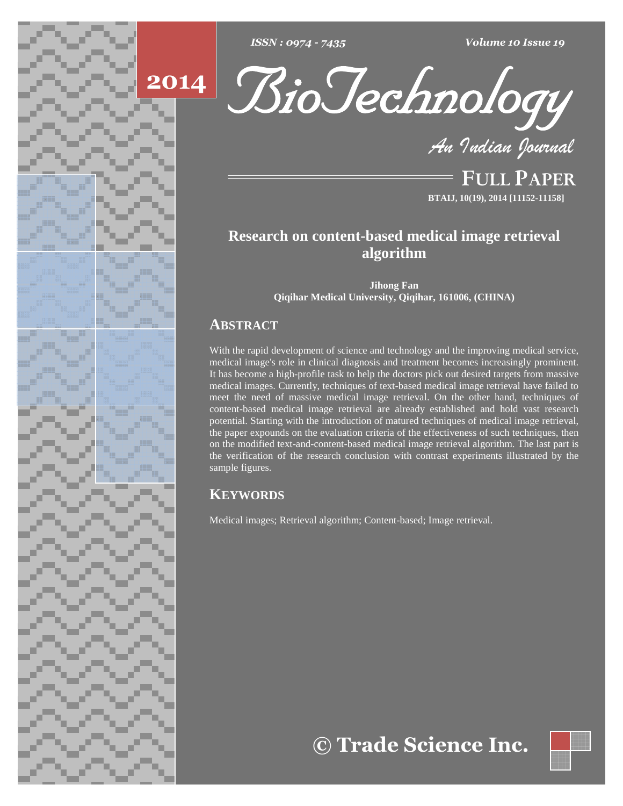





**FULL PAPER BTAIJ, 10(19), 2014 [11152-11158]**

# **Research on content-based medical image retrieval algorithm**

**Jihong Fan Qiqihar Medical University, Qiqihar, 161006, (CHINA)**

# **ABSTRACT**

With the rapid development of science and technology and the improving medical service, medical image's role in clinical diagnosis and treatment becomes increasingly prominent. It has become a high-profile task to help the doctors pick out desired targets from massive medical images. Currently, techniques of text-based medical image retrieval have failed to meet the need of massive medical image retrieval. On the other hand, techniques of content-based medical image retrieval are already established and hold vast research potential. Starting with the introduction of matured techniques of medical image retrieval, the paper expounds on the evaluation criteria of the effectiveness of such techniques, then on the modified text-and-content-based medical image retrieval algorithm. The last part is the verification of the research conclusion with contrast experiments illustrated by the sample figures.

# **KEYWORDS**

Medical images; Retrieval algorithm; Content-based; Image retrieval.

**Trade Science Inc.**

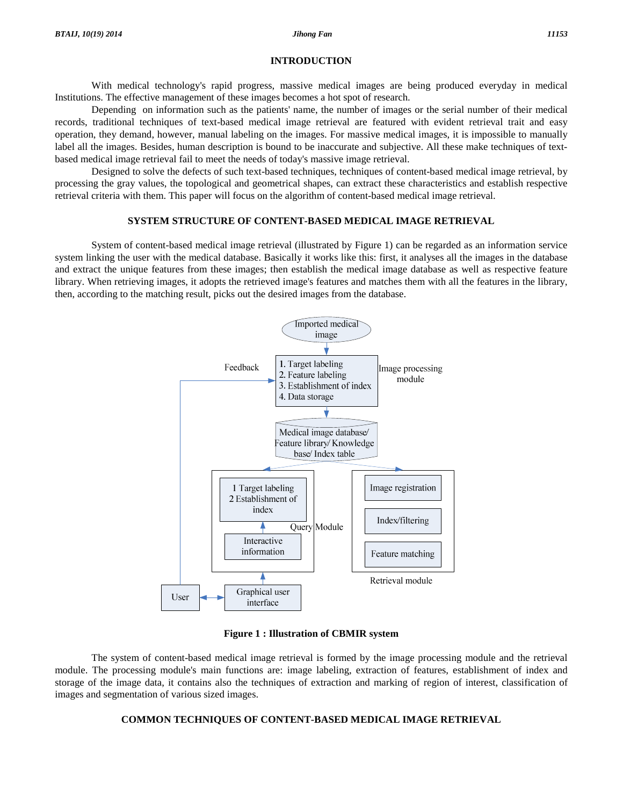#### **INTRODUCTION**

With medical technology's rapid progress, massive medical images are being produced everyday in medical Institutions. The effective management of these images becomes a hot spot of research.

Depending on information such as the patients' name, the number of images or the serial number of their medical records, traditional techniques of text-based medical image retrieval are featured with evident retrieval trait and easy operation, they demand, however, manual labeling on the images. For massive medical images, it is impossible to manually label all the images. Besides, human description is bound to be inaccurate and subjective. All these make techniques of text based medical image retrieval fail to meet the needs of today's massive image retrieval.

Designed to solve the defects of such text-based techniques, techniques of content-based medical image retrieval, by processing the gray values, the topological and geometrical shapes, can extract these characteristics and establish respective retrieval criteria with them. This paper will focus on the algorithm of content-based medical image retrieval.

# **SYSTEM STRUCTURE OF CONTENT-BASED MEDICAL IMAGE RETRIEVAL**

System of content-based medical image retrieval (illustrated by Figure 1) can be regarded as an information service system linking the user with the medical database. Basically it works like this: first, it analyses all the images in the database and extract the unique features from these images; then establish the medical image database as well as respective feature library. When retrieving images, it adopts the retrieved image's features and matches them withall the features in the library, then, according to the matching result, picks out the desired images from the database.



**Figure 1 : Illustration of CBMIR system**

The system of content-based medical image retrieval is formed by the image processing module and the retrieval module. The processing module's main functions are: image labeling, extraction of features, establishment of index and storage of the image data, it contains also the techniques of extraction and marking of region of interest, classification of images and segmentation of various sized images.

# **COMMON TECHNIQUES OF CONTENT-BASED MEDICAL IMAGE RETRIEVAL**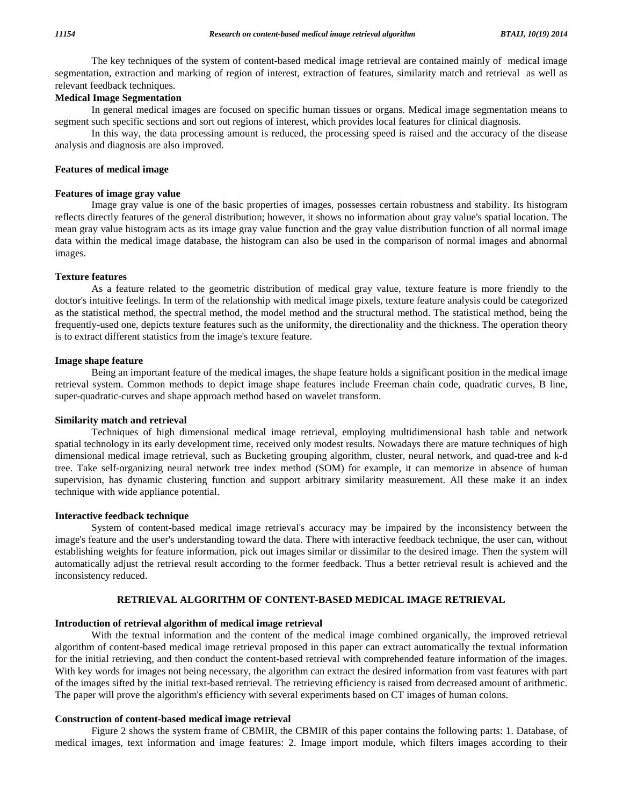The key techniques of the system of content-based medical image retrieval are contained mainly of medical image segmentation, extraction and marking of region of interest, extraction of features, similarity match and retrieval as well as relevant feedback techniques.

# **Medical Image Segmentation**

In general medical images are focused on specific human tissues or organs. Medical image segmentation means to segment such specific sections and sort out regions of interest, which provides local features for clinical diagnosis.

In this way, the data processing amount is reduced, the processing speed is raised and the accuracy of the disease analysis and diagnosis are also improved.

# **Features of medical image**

#### **Features of image gray value**

Image gray value is one of the basic properties of images, possesses certain robustness and stability. Its histogram reflects directly features of the general distribution; however, it shows no information about gray value's spatial location. The mean gray value histogram acts as its image gray value function and the gray value distribution function of all normal image data within the medical image database, the histogram can also be used in the comparison of normal images and abnormal images.

#### **Texture features**

As a feature related to the geometric distribution of medical gray value, texture feature is more friendly to the doctor's intuitive feelings. In term of the relationship with medical image pixels, texture feature analysis could be categorized as the statistical method, the spectral method, the model method and the structural method. The statistical method, being the frequently-used one, depicts texture features such as the uniformity, the directionality and the thickness. The operation theory is to extract different statistics from the image's texture feature.

#### **Image shape feature**

Being an important feature of the medical images, the shape feature holds a significant position in the medical image retrieval system. Common methods to depict image shape features include Freeman chain code, quadratic curves, B line, super-quadratic-curves and shape approach method based on wavelet transform.

# **Similarity match and retrieval**

Techniques of high dimensional medical image retrieval, employing multidimensional hash table and network spatial technology in its early development time, received only modest results. Nowadays there are mature techniques of high dimensional medical image retrieval, such as Bucketing grouping algorithm, cluster, neural network, and quad-tree and k-d tree. Take self-organizing neural network tree index method (SOM) for example, it can memorize in absence of human supervision, has dynamic clustering function and support arbitrary similarity measurement. All these make it an index technique with wide appliance potential.

#### **Interactive feedback technique**

System of content-based medical image retrieval's accuracy may be impaired by the inconsistency between the image's feature and the user's understanding toward the data. There with interactive feedback technique, the user can, without establishing weights for feature information, pick out images similar or dissimilar to the desired image. Then the system will automatically adjust the retrieval result according to the former feedback. Thus a better retrieval result is achieved and the inconsistency reduced.

# **RETRIEVAL ALGORITHM OF CONTENT-BASED MEDICAL IMAGE RETRIEVAL**

#### **Introduction of retrieval algorithm of medical image retrieval**

With the textual information and the content of the medical image combined organically, the improved retrieval algorithm of content-based medical image retrieval proposed in this paper can extract automatically the textual information for the initial retrieving, and then conduct the content-based retrieval with comprehended feature information of the images. With key words for images not being necessary, the algorithm can extract the desired information from vast features with part of the images sifted by the initial text-based retrieval. The retrieving efficiency is raised from decreased amount of arithmetic. The paper will prove the algorithm's efficiency with several experiments based on CT images of human colons.

#### **Construction of content-based medical image retrieval**

Figure 2 shows the system frame of CBMIR, the CBMIR of this paper contains the following parts: 1. Database, of medical images, text information and image features: 2. Image import module, which filters images according to their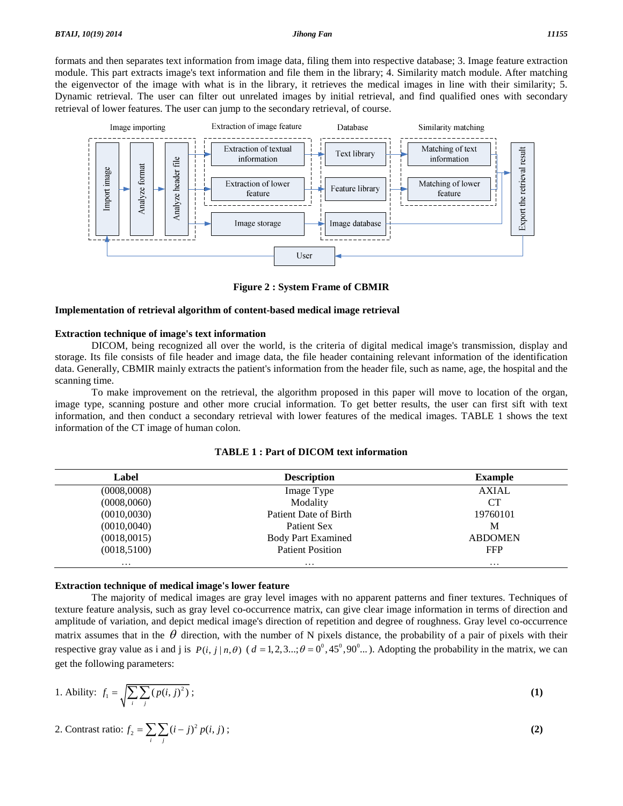formats and then separates text information from image data, filing them into respective database; 3. Image feature extraction module. This part extracts image's text information and file them in the library; 4. Similarity match module. After matching the eigenvector of the image with what is in the library, it retrieves the medical images in line with their similarity; 5. Dynamic retrieval. The user can filter out unrelated images by initial retrieval, and find qualified ones with secondary retrieval of lower features. The user can jump to the secondary retrieval, of course.



**Figure 2 : System Frame of CBMIR**

#### **Implementation of retrieval algorithm of content-based medical image retrieval**

#### **Extraction technique of image's text information**

DICOM, being recognized all over the world, is the criteria of digital medical image's transmission, display and storage. Its file consists of file header and image data, the file header containing relevant information of the identification data. Generally, CBMIR mainly extracts the patient's information from the header file, such as name, age, the hospital and the scanning time.

To make improvement on the retrieval, the algorithm proposed in this paper will move to location ofthe organ, image type, scanning posture and other more crucial information. To get better results, the user can first sift with text information, and then conduct a secondary retrieval with lower features of the medical images. TABLE 1 shows the text information of the CT image of human colon.

| <b>TABLE 1: Part of DICOM text information</b> |  |
|------------------------------------------------|--|
|------------------------------------------------|--|

| Label        | <b>Description</b>        | <b>Example</b> |  |
|--------------|---------------------------|----------------|--|
| (0008,0008)  | Image Type                | <b>AXIAL</b>   |  |
| (0008,0060)  | Modality                  | CТ             |  |
| (0010,0030)  | Patient Date of Birth     | 19760101       |  |
| (0010, 0040) | Patient Sex               | M              |  |
| (0018,0015)  | <b>Body Part Examined</b> | <b>ABDOMEN</b> |  |
| (0018, 5100) | <b>Patient Position</b>   | <b>FFP</b>     |  |
| $\cdots$     | $\cdots$                  | $\cdots$       |  |

#### **Extraction technique of medical image's lower feature**

The majority of medical images are gray level images with no apparent patterns and finer textures. Techniques of texture feature analysis, such as gray level co-occurrence matrix, can give clear image information in terms of direction and amplitude of variation, and depict medical image's direction of repetition and degree of roughness. Gray level co-occurrence matrix assumes that in the  $\theta$  direction, with the number of N pixels distance, the probability of a pair of pixels with their amplitude of variation, and depict medical image's direction of repetition and degree of roughness. Gray level co-occurrence matrix assumes that in the  $\theta$  direction, with the number of N pixels distance, the probability get the following parameters: *f f*  $f_1 = \sqrt{\sum \sum f_i}$ 

1. Ability: 
$$
f_1 = \sqrt{\sum_i \sum_j (p(i, j)^2)};
$$
  
2. Contrast ratio: 
$$
f_2 = \sum_i \sum_j (i - j)^2 p(i, j);
$$
 (2)

$$
\sqrt{\frac{1}{i-j}}
$$
  
2. Contrast ratio:  $f_2 = \sum_{i} \sum_{j} (i-j)^2 p(i, j)$  ; (2)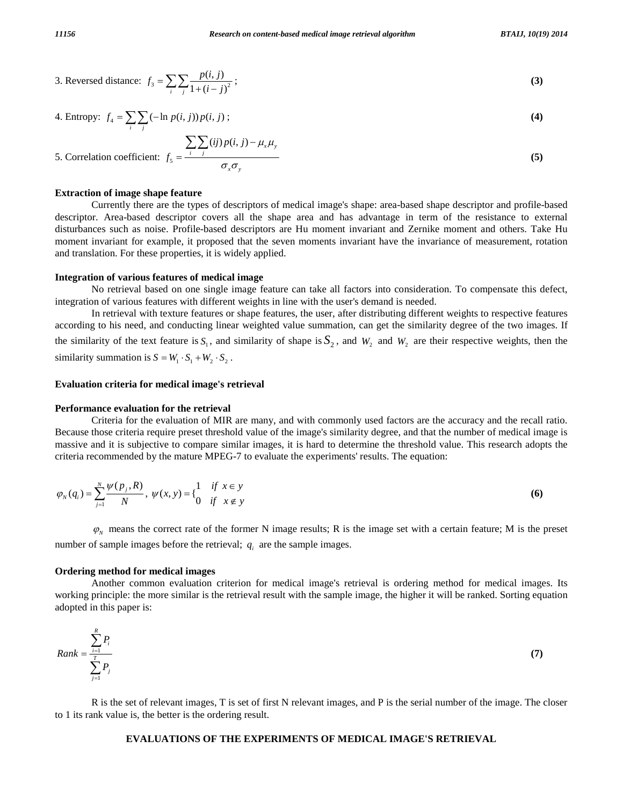3. Reversed distance: 
$$
f_3 = \sum_i \sum_j \frac{p(i, j)}{1 + (i - j)^2};
$$
\n4. Entropy: 
$$
f_4 = \sum_i \sum_j (-\ln p(i, j)) p(i, j);
$$
\n(4)

4. Entropy: 
$$
f_4 = \sum_{i} \sum_{j} (-\ln p(i, j)) p(i, j)
$$
;  
(4)

4. Entropy: 
$$
f_4 = \sum_{i} \sum_{j} (-\ln p(i, j)) p(i, j)
$$
;  
\n5. Correlation coefficient:  $f_5 = \frac{\sum_{i} \sum_{j} (ij) p(i, j) - \mu_x \mu_y}{\sigma_x \sigma_y}$  (5)

#### **Extraction of image shape feature**

Currently there are the types of descriptors of medical image's shape: area-based shape descriptor and profile-based descriptor. Area-based descriptor covers all the shape area and has advantage in term of the resistance to external disturbances such as noise. Profile-based descriptors are Hu moment invariant and Zernike moment and others. Take Hu moment invariant for example, it proposed that the seven moments invariant have the invariance of measurement, rotation and translation. For these properties, it is widely applied.

#### **Integration of various features of medical image**

No retrieval based on one single image feature can take all factors into consideration. To compensate this defect, integration of various features with different weights in line with the user's demand is needed.

In retrieval with texture features or shape features, the user, after distributing different weights to respective features according to his need, and conducting linear weighted value summation, can get the similarity degree of the two images. If the similarity of the text feature is  $S_1$ , and similarity of shape is  $S_2$ , and  $W_2$  and  $W_2$  are their respective weights, then the similarity summation is  $S = W_1 \cdot S_1 + W_2 \cdot S_2$ .

#### **Evaluation criteria for medical image's retrieval**

# **Performance evaluation for the retrieval**

Criteria for the evaluation of MIR are many, and with commonly used factors are the accuracy and the recall ratio. Because those criteria require preset threshold value of the image's similarity degree, and that the number of medical image is massive and it is subjective to compare similar images, it is hard to determine the threshold value. This research adopts the

criterion recommended by the mature MPEG-7 to evaluate the experiments' results. The equation:  
\n
$$
\varphi_N(q_i) = \sum_{j=1}^N \frac{\psi(p_j, R)}{N}, \ \psi(x, y) = \begin{cases} 1 & \text{if } x \in y \\ 0 & \text{if } x \notin y \end{cases}
$$
\n(6)

 $\varphi$ <sub>N</sub> means the correct rate of the former N image results; R is the image set with a certain feature; M is the preset number of sample images before the retrieval;  $q_i$  are the sample images.

#### **Ordering method for medical images**

Another common evaluation criterion for medical image's retrieval is ordering method for medical images. Its working principle: the more similar is the retrieval result with the sample image, the higher it will be ranked. Sorting equation

working principle, the more similar is the letterva result with the sample image, the higher it will be ranked. Soling equation adopted in this paper is:

\n
$$
Rank = \frac{\sum_{i=1}^{R} P_i}{\sum_{j=1}^{T} P_j}
$$
\n(7)

R is the set of relevant images, T is set of first N relevant images, and P is the serial number of the image. The closer to 1 its rank value is, the better is the ordering result.

#### **EVALUATIONS OF THE EXPERIMENTS OF MEDICAL IMAGE'S RETRIEVAL**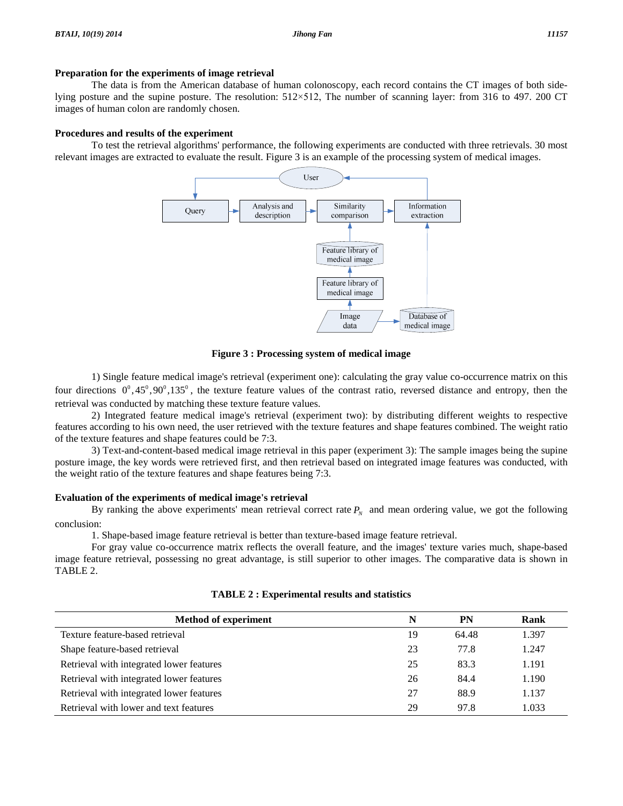# **Preparation for the experiments of image retrieval**

The data is from the American database of human colonoscopy, each record contains the CT images of both side-**Preparation for the experiments of image retrieval**<br>The data is from the American database of human colonoscopy, each record contains the CT images of both side-<br>lying posture and the supine posture. The resolution: 512×5 images of human colon are randomly chosen.

# **Procedures and results of the experiment**

To testthe retrieval algorithms' performance, the following experiments are conducted with three retrievals. 30 most relevant images are extracted to evaluate the result. Figure 3 is an example of the processing system of medical images.



**Figure 3 : Processing system of medical image**

1) Single feature medical image's retrieval (experiment one): calculating the gray value co-occurrence matrix on this four directions  $0^0, 45^0, 90^0, 135^0$ , the texture feature values of the contrast ratio, reversed distance and entropy, then the retrieval was conducted by matching these texture feature values.

2) Integrated feature medical image's retrieval (experiment two): by distributing different weights to respective features according to his own need, the user retrieved with the texture features and shape features combined. The weight ratio of the texture features and shape features could be 7:3.

3) Text-and-content-based medical image retrieval in this paper (experiment 3): The sample images being the supine posture image, the key words were retrieved first, and then retrieval based on integrated image features was conducted, with the weight ratio of the texture features and shape features being 7:3.

# **Evaluation of the experiments of medical image's retrieval**

By ranking the above experiments' mean retrieval correct rate  $P<sub>N</sub>$  and mean ordering value, we got the following conclusion:

1. Shape-based image feature retrieval is better than texture-based image feature retrieval.

For gray value co-occurrence matrix reflects the overall feature, and the images' texture varies much, shape-based image feature retrieval, possessing no great advantage, is still superior to other images. The comparative data is shown in TABLE 2.

| <b>Method of experiment</b>              | N  | PN    | Rank  |
|------------------------------------------|----|-------|-------|
| Texture feature-based retrieval          | 19 | 64.48 | 1.397 |
| Shape feature-based retrieval            | 23 | 77.8  | 1.247 |
| Retrieval with integrated lower features | 25 | 83.3  | 1.191 |
| Retrieval with integrated lower features | 26 | 84.4  | 1.190 |
| Retrieval with integrated lower features | 27 | 88.9  | 1.137 |
| Retrieval with lower and text features   | 29 | 97.8  | 1.033 |

**TABLE 2 : Experimental results and statistics**